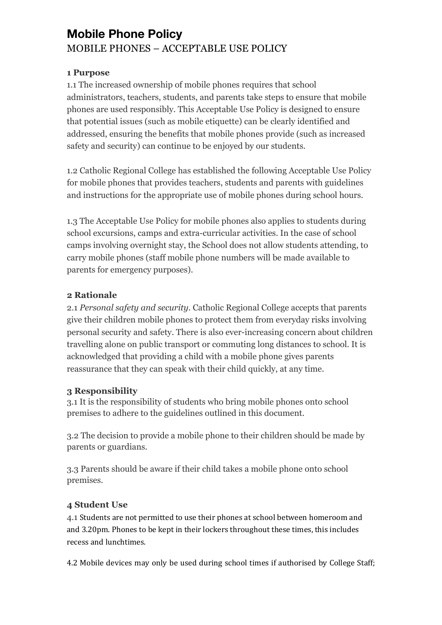# **Mobile Phone Policy** MOBILE PHONES – ACCEPTABLE USE POLICY

## **1 Purpose**

1.1 The increased ownership of mobile phones requires that school administrators, teachers, students, and parents take steps to ensure that mobile phones are used responsibly. This Acceptable Use Policy is designed to ensure that potential issues (such as mobile etiquette) can be clearly identified and addressed, ensuring the benefits that mobile phones provide (such as increased safety and security) can continue to be enjoyed by our students.

1.2 Catholic Regional College has established the following Acceptable Use Policy for mobile phones that provides teachers, students and parents with guidelines and instructions for the appropriate use of mobile phones during school hours.

1.3 The Acceptable Use Policy for mobile phones also applies to students during school excursions, camps and extra-curricular activities. In the case of school camps involving overnight stay, the School does not allow students attending, to carry mobile phones (staff mobile phone numbers will be made available to parents for emergency purposes).

# **2 Rationale**

2.1 *Personal safety and security.* Catholic Regional College accepts that parents give their children mobile phones to protect them from everyday risks involving personal security and safety. There is also ever-increasing concern about children travelling alone on public transport or commuting long distances to school. It is acknowledged that providing a child with a mobile phone gives parents reassurance that they can speak with their child quickly, at any time.

#### **3 Responsibility**

3.1 It is the responsibility of students who bring mobile phones onto school premises to adhere to the guidelines outlined in this document.

3.2 The decision to provide a mobile phone to their children should be made by parents or guardians.

3.3 Parents should be aware if their child takes a mobile phone onto school premises.

# **4 Student Use**

4.1 Students are not permitted to use their phones at school between homeroom and and 3.20pm. Phones to be kept in their lockers throughout these times, this includes recess and lunchtimes.

4.2 Mobile devices may only be used during school times if authorised by College Staff;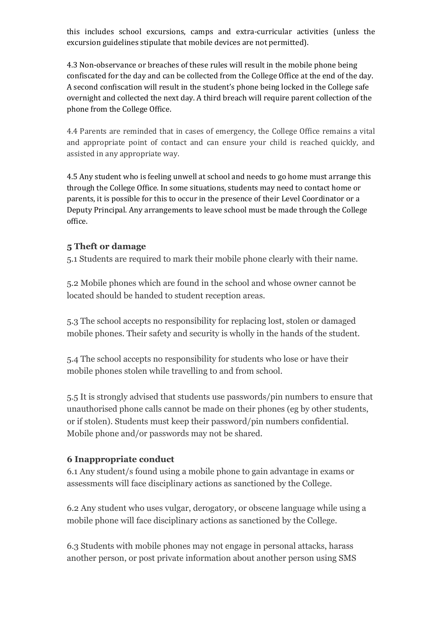this includes school excursions, camps and extra-curricular activities (unless the excursion guidelines stipulate that mobile devices are not permitted).

4.3 Non-observance or breaches of these rules will result in the mobile phone being confiscated for the day and can be collected from the College Office at the end of the day. A second confiscation will result in the student's phone being locked in the College safe overnight and collected the next day. A third breach will require parent collection of the phone from the College Office.

4.4 Parents are reminded that in cases of emergency, the College Office remains a vital and appropriate point of contact and can ensure your child is reached quickly, and assisted in any appropriate way.

4.5 Any student who is feeling unwell at school and needs to go home must arrange this through the College Office. In some situations, students may need to contact home or parents, it is possible for this to occur in the presence of their Level Coordinator or a Deputy Principal. Any arrangements to leave school must be made through the College office. 

## **5 Theft or damage**

5.1 Students are required to mark their mobile phone clearly with their name.

5.2 Mobile phones which are found in the school and whose owner cannot be located should be handed to student reception areas.

5.3 The school accepts no responsibility for replacing lost, stolen or damaged mobile phones. Their safety and security is wholly in the hands of the student.

5.4 The school accepts no responsibility for students who lose or have their mobile phones stolen while travelling to and from school.

5.5 It is strongly advised that students use passwords/pin numbers to ensure that unauthorised phone calls cannot be made on their phones (eg by other students, or if stolen). Students must keep their password/pin numbers confidential. Mobile phone and/or passwords may not be shared.

#### **6 Inappropriate conduct**

6.1 Any student/s found using a mobile phone to gain advantage in exams or assessments will face disciplinary actions as sanctioned by the College.

6.2 Any student who uses vulgar, derogatory, or obscene language while using a mobile phone will face disciplinary actions as sanctioned by the College.

6.3 Students with mobile phones may not engage in personal attacks, harass another person, or post private information about another person using SMS